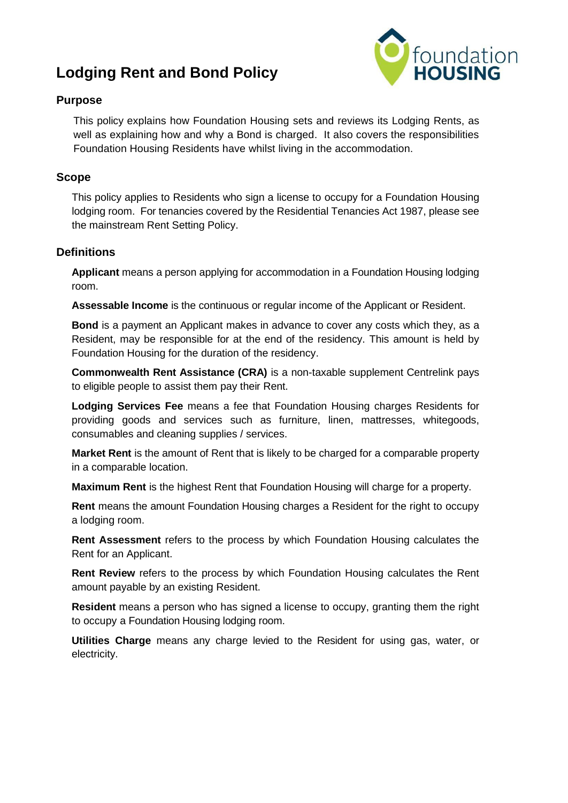# **Lodging Rent and Bond Policy**



# **Purpose**

This policy explains how Foundation Housing sets and reviews its Lodging Rents, as well as explaining how and why a Bond is charged. It also covers the responsibilities Foundation Housing Residents have whilst living in the accommodation.

## **Scope**

This policy applies to Residents who sign a license to occupy for a Foundation Housing lodging room. For tenancies covered by the Residential Tenancies Act 1987, please see the mainstream Rent Setting Policy.

# **Definitions**

**Applicant** means a person applying for accommodation in a Foundation Housing lodging room.

**Assessable Income** is the continuous or regular income of the Applicant or Resident.

**Bond** is a payment an Applicant makes in advance to cover any costs which they, as a Resident, may be responsible for at the end of the residency. This amount is held by Foundation Housing for the duration of the residency.

**Commonwealth Rent Assistance (CRA)** is a non-taxable supplement Centrelink pays to eligible people to assist them pay their Rent.

**Lodging Services Fee** means a fee that Foundation Housing charges Residents for providing goods and services such as furniture, linen, mattresses, whitegoods, consumables and cleaning supplies / services.

**Market Rent** is the amount of Rent that is likely to be charged for a comparable property in a comparable location.

**Maximum Rent** is the highest Rent that Foundation Housing will charge for a property.

**Rent** means the amount Foundation Housing charges a Resident for the right to occupy a lodging room.

**Rent Assessment** refers to the process by which Foundation Housing calculates the Rent for an Applicant.

**Rent Review** refers to the process by which Foundation Housing calculates the Rent amount payable by an existing Resident.

**Resident** means a person who has signed a license to occupy, granting them the right to occupy a Foundation Housing lodging room.

**Utilities Charge** means any charge levied to the Resident for using gas, water, or electricity.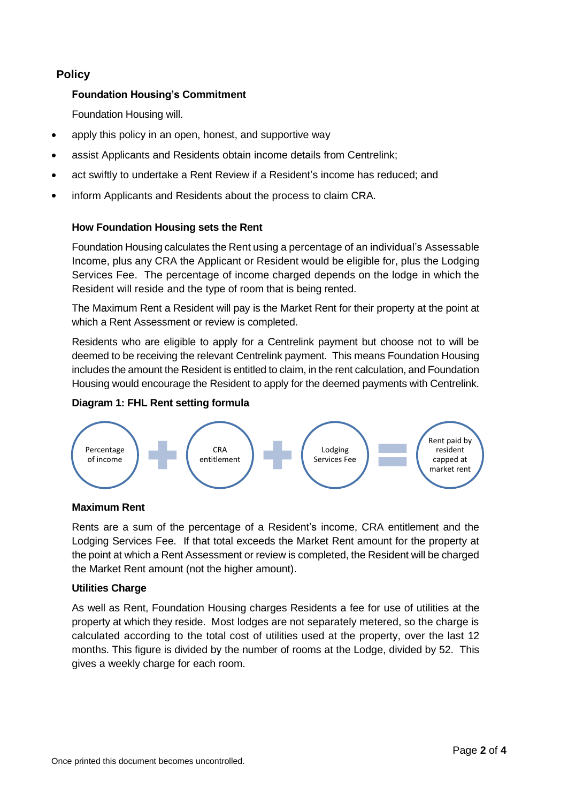# **Policy**

## **Foundation Housing's Commitment**

Foundation Housing will.

- apply this policy in an open, honest, and supportive way
- assist Applicants and Residents obtain income details from Centrelink;
- act swiftly to undertake a Rent Review if a Resident's income has reduced; and
- inform Applicants and Residents about the process to claim CRA.

#### **How Foundation Housing sets the Rent**

Foundation Housing calculates the Rent using a percentage of an individual's Assessable Income, plus any CRA the Applicant or Resident would be eligible for, plus the Lodging Services Fee. The percentage of income charged depends on the lodge in which the Resident will reside and the type of room that is being rented.

The Maximum Rent a Resident will pay is the Market Rent for their property at the point at which a Rent Assessment or review is completed.

Residents who are eligible to apply for a Centrelink payment but choose not to will be deemed to be receiving the relevant Centrelink payment. This means Foundation Housing includes the amount the Resident is entitled to claim, in the rent calculation, and Foundation Housing would encourage the Resident to apply for the deemed payments with Centrelink.

#### **Diagram 1: FHL Rent setting formula**



#### **Maximum Rent**

Rents are a sum of the percentage of a Resident's income, CRA entitlement and the Lodging Services Fee. If that total exceeds the Market Rent amount for the property at the point at which a Rent Assessment or review is completed, the Resident will be charged the Market Rent amount (not the higher amount).

#### **Utilities Charge**

As well as Rent, Foundation Housing charges Residents a fee for use of utilities at the property at which they reside. Most lodges are not separately metered, so the charge is calculated according to the total cost of utilities used at the property, over the last 12 months. This figure is divided by the number of rooms at the Lodge, divided by 52. This gives a weekly charge for each room.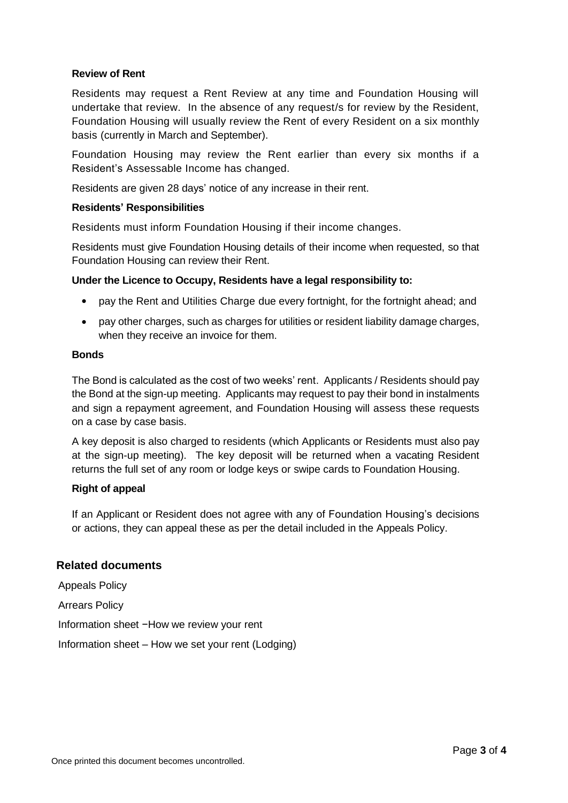#### **Review of Rent**

Residents may request a Rent Review at any time and Foundation Housing will undertake that review. In the absence of any request/s for review by the Resident, Foundation Housing will usually review the Rent of every Resident on a six monthly basis (currently in March and September).

Foundation Housing may review the Rent earlier than every six months if a Resident's Assessable Income has changed.

Residents are given 28 days' notice of any increase in their rent.

#### **Residents' Responsibilities**

Residents must inform Foundation Housing if their income changes.

Residents must give Foundation Housing details of their income when requested, so that Foundation Housing can review their Rent.

#### **Under the Licence to Occupy, Residents have a legal responsibility to:**

- pay the Rent and Utilities Charge due every fortnight, for the fortnight ahead; and
- pay other charges, such as charges for utilities or resident liability damage charges, when they receive an invoice for them.

#### **Bonds**

The Bond is calculated as the cost of two weeks' rent. Applicants / Residents should pay the Bond at the sign-up meeting. Applicants may request to pay their bond in instalments and sign a repayment agreement, and Foundation Housing will assess these requests on a case by case basis.

A key deposit is also charged to residents (which Applicants or Residents must also pay at the sign-up meeting). The key deposit will be returned when a vacating Resident returns the full set of any room or lodge keys or swipe cards to Foundation Housing.

#### **Right of appeal**

If an Applicant or Resident does not agree with any of Foundation Housing's decisions or actions, they can appeal these as per the detail included in the Appeals Policy.

#### **Related documents**

Appeals Policy Arrears Policy Information sheet −How we review your rent Information sheet – How we set your rent (Lodging)